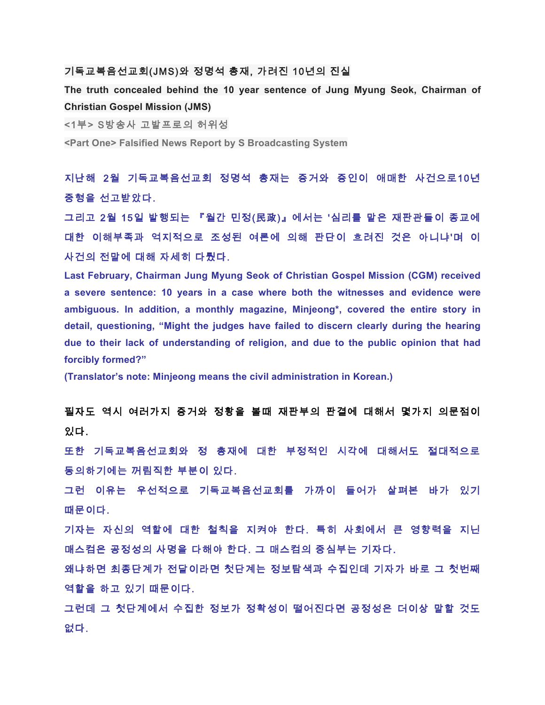#### 기독교복음선교회(JMS)와 정명석 총재, 가려진 10년의 진실

**The truth concealed behind the 10 year sentence of Jung Myung Seok, Chairman of Christian Gospel Mission (JMS)**

<1부> S방송사 고발프로의 허위성

**<Part One> Falsified News Report by S Broadcasting System**

지난해 2월 기독교복음선교회 정명석 총재는 증거와 증인이 애매한 사건으로10년 중형을 선고받았다.

그리고 2월 15일 발행되는 『월간 민정(民政)』에서는 '심리를 맡은 재판관들이 종교에 대한 이해부족과 억지적으로 조성된 여론에 의해 판단이 흐려진 것은 아니냐'며 이 사건의 전말에 대해 자세히 다뤘다.

**Last February, Chairman Jung Myung Seok of Christian Gospel Mission (CGM) received a severe sentence: 10 years in a case where both the witnesses and evidence were ambiguous. In addition, a monthly magazine, Minjeong\*, covered the entire story in detail, questioning, "Might the judges have failed to discern clearly during the hearing due to their lack of understanding of religion, and due to the public opinion that had forcibly formed?"**

**(Translator's note: Minjeong means the civil administration in Korean.)**

필자도 역시 여러가지 증거와 정황을 볼때 재판부의 판결에 대해서 몇가지 의문점이 있다.

또한 기독교복음선교회와 정 총재에 대한 부정적인 시각에 대해서도 절대적으로 동의하기에는 꺼림직한 부분이 있다.

그런 이유는 우선적으로 기독교복음선교회를 가까이 들어가 살펴본 바가 있기 때문이다.

기자는 자신의 역할에 대한 철칙을 지켜야 한다. 특히 사회에서 큰 영향력을 지닌 매스컴은 공정성의 사명을 다해야 한다. 그 매스컴의 중심부는 기자다.

왜냐하면 최종단계가 전달이라면 첫단계는 정보탐색과 수집인데 기자가 바로 그 첫번째 역할을 하고 있기 때문이다.

그런데 그 첫단계에서 수집한 정보가 정확성이 떨어진다면 공정성은 더이상 말할 것도 없다.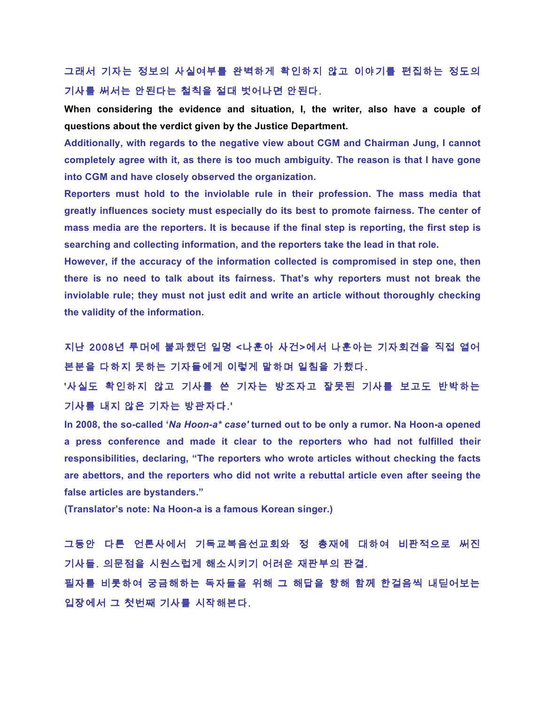# 그래서 기자는 정보의 사실여부를 완벽하게 확인하지 않고 이야기를 편집하는 정도의 기사를 써서는 안된다는 철칙을 절대 벗어나면 안된다.

**When considering the evidence and situation, I, the writer, also have a couple of questions about the verdict given by the Justice Department.**

**Additionally, with regards to the negative view about CGM and Chairman Jung, I cannot completely agree with it, as there is too much ambiguity. The reason is that I have gone into CGM and have closely observed the organization.** 

**Reporters must hold to the inviolable rule in their profession. The mass media that greatly influences society must especially do its best to promote fairness. The center of mass media are the reporters. It is because if the final step is reporting, the first step is searching and collecting information, and the reporters take the lead in that role.** 

**However, if the accuracy of the information collected is compromised in step one, then there is no need to talk about its fairness. That's why reporters must not break the inviolable rule; they must not just edit and write an article without thoroughly checking the validity of the information.** 

지난 2008년 루머에 불과했던 일명 <나훈아 사건>에서 나훈아는 기자회견을 직접 열어 본분을 다하지 못하는 기자들에게 이렇게 말하며 일침을 가했다.

'사실도 확인하지 않고 기사를 쓴 기자는 방조자고 잘못된 기사를 보고도 반박하는 기사를 내지 않은 기자는 방관자다.'

**In 2008, the so-called '***Na Hoon-a\* case'* **turned out to be only a rumor. Na Hoon-a opened a press conference and made it clear to the reporters who had not fulfilled their responsibilities, declaring, "The reporters who wrote articles without checking the facts are abettors, and the reporters who did not write a rebuttal article even after seeing the false articles are bystanders."**

**(Translator's note: Na Hoon-a is a famous Korean singer.)**

그동안 다른 언론사에서 기독교복음선교회와 정 총재에 대하여 비판적으로 써진 기사들. 의문점을 시원스럽게 해소시키기 어려운 재판부의 판결. 필자를 비롯하여 궁금해하는 독자들을 위해 그 해답을 향해 함께 한걸음씩 내딛어보는 입장에서 그 첫번째 기사를 시작해본다.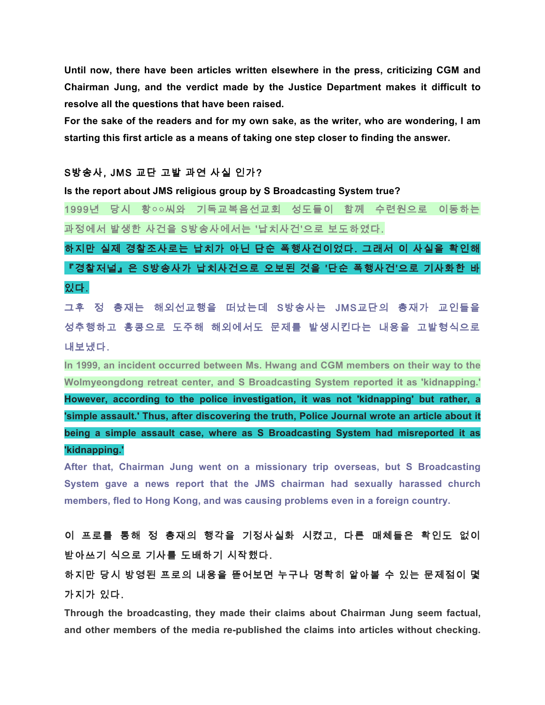**Until now, there have been articles written elsewhere in the press, criticizing CGM and Chairman Jung, and the verdict made by the Justice Department makes it difficult to resolve all the questions that have been raised.** 

**For the sake of the readers and for my own sake, as the writer, who are wondering, I am starting this first article as a means of taking one step closer to finding the answer.** 

### S방송사, JMS 교단 고발 과연 사실 인가?

**Is the report about JMS religious group by S Broadcasting System true?** 

1999년 당시 황○○씨와 기독교복음선교회 성도들이 함께 수련원으로 이동하는 과정에서 발생한 사건을 S방송사에서는 '납치사건'으로 보도하였다.

하지만 실제 경찰조사로는 납치가 아닌 단순 폭행사건이었다. 그래서 이 사실을 확인해 『경찰저널』은 S방송사가 납치사건으로 오보된 것을 '단순 폭행사건'으로 기사화한 바 있다.

그후 정 총재는 해외선교행을 떠났는데 S방송사는 JMS교단의 총재가 교인들을 성추행하고 홍콩으로 도주해 해외에서도 문제를 발생시킨다는 내용을 고발형식으로 내보냈다.

**In 1999, an incident occurred between Ms. Hwang and CGM members on their way to the Wolmyeongdong retreat center, and S Broadcasting System reported it as 'kidnapping.' However, according to the police investigation, it was not 'kidnapping' but rather, a 'simple assault.' Thus, after discovering the truth, Police Journal wrote an article about it being a simple assault case, where as S Broadcasting System had misreported it as 'kidnapping.'** 

**After that, Chairman Jung went on a missionary trip overseas, but S Broadcasting System gave a news report that the JMS chairman had sexually harassed church members, fled to Hong Kong, and was causing problems even in a foreign country.**

# 이 프로를 통해 정 총재의 행각을 기정사실화 시켰고, 다른 매체들은 확인도 없이 받아쓰기 식으로 기사를 도배하기 시작했다.

하지만 당시 방영된 프로의 내용을 뜯어보면 누구나 명확히 알아볼 수 있는 문제점이 몇 가지가 있다.

**Through the broadcasting, they made their claims about Chairman Jung seem factual, and other members of the media re-published the claims into articles without checking.**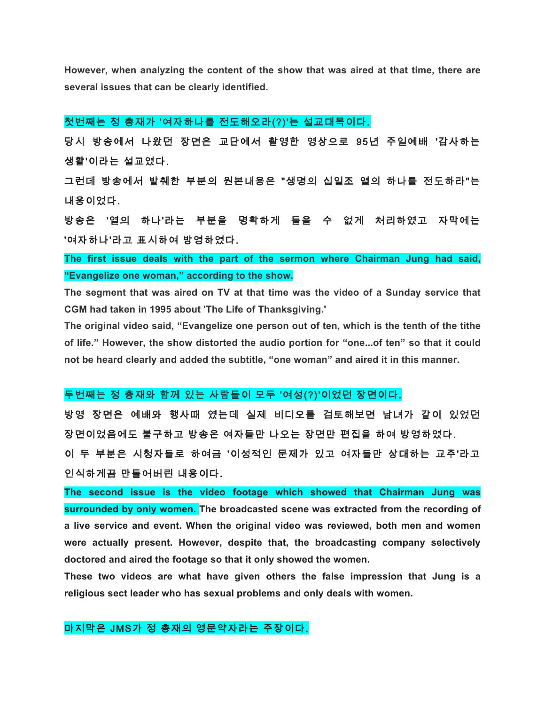**However, when analyzing the content of the show that was aired at that time, there are several issues that can be clearly identified.**

## 첫번째는 정 총재가 '여자하나를 전도해오라(?)'는 설교대목이다.

당시 방송에서 나왔던 장면은 교단에서 촬영한 영상으로 95년 주일예배 '감사하는 생활'이라는 설교였다.

그런데 방송에서 발췌한 부분의 원본내용은 "생명의 십일조 열의 하나를 전도하라"는 내용이었다.

방송은 '열의 하나'라는 부분을 명확하게 들을 수 없게 처리하였고 자막에는 '여자하나'라고 표시하여 방영하였다.

**The first issue deals with the part of the sermon where Chairman Jung had said, "Evangelize one woman," according to the show.** 

**The segment that was aired on TV at that time was the video of a Sunday service that CGM had taken in 1995 about 'The Life of Thanksgiving.'**

**The original video said, "Evangelize one person out of ten, which is the tenth of the tithe of life." However, the show distorted the audio portion for "one...of ten" so that it could not be heard clearly and added the subtitle, "one woman" and aired it in this manner.** 

### 두번째는 정 총재와 함께 있는 사람들이 모두 '여성(?)'이었던 장면이다.

방영 장면은 예배와 행사때 였는데 실제 비디오를 검토해보면 남녀가 같이 있었던 장면이었음에도 불구하고 방송은 여자들만 나오는 장면만 편집을 하여 방영하였다. 이 두 부분은 시청자들로 하여금 '이성적인 문제가 있고 여자들만 상대하는 교주'라고 인식하게끔 만들어버린 내용이다.

**The second issue is the video footage which showed that Chairman Jung was surrounded by only women. The broadcasted scene was extracted from the recording of a live service and event. When the original video was reviewed, both men and women were actually present. However, despite that, the broadcasting company selectively doctored and aired the footage so that it only showed the women.** 

**These two videos are what have given others the false impression that Jung is a religious sect leader who has sexual problems and only deals with women.** 

## 마지막은 JMS가 정 총재의 영문약자라는 주장이다.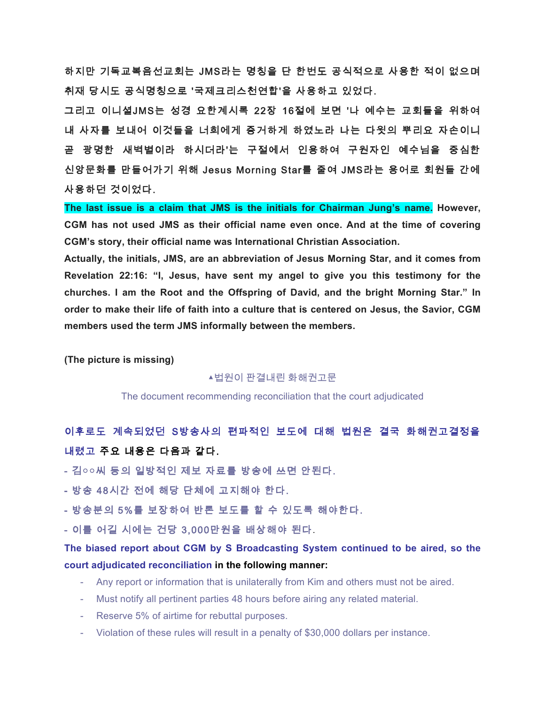하지만 기독교복음선교회는 JMS라는 명칭을 단 한번도 공식적으로 사용한 적이 없으며 취재 당시도 공식명칭으로 '국제크리스천연합'을 사용하고 있었다.

그리고 이니셜JMS는 성경 요한계시록 22장 16절에 보면 '나 예수는 교회들을 위하여 내 사자를 보내어 이것들을 너희에게 증거하게 하였노라 나는 다윗의 뿌리요 자손이니 곧 광명한 새벽별이라 하시더라'는 구절에서 인용하여 구원자인 예수님을 중심한 신앙문화를 만들어가기 위해 Jesus Morning Star를 줄여 JMS라는 용어로 회원들 간에 사용하던 것이었다.

**The last issue is a claim that JMS is the initials for Chairman Jung's name. However, CGM has not used JMS as their official name even once. And at the time of covering CGM's story, their official name was International Christian Association.**

**Actually, the initials, JMS, are an abbreviation of Jesus Morning Star, and it comes from Revelation 22:16: "I, Jesus, have sent my angel to give you this testimony for the churches. I am the Root and the Offspring of David, and the bright Morning Star." In order to make their life of faith into a culture that is centered on Jesus, the Savior, CGM members used the term JMS informally between the members.** 

**(The picture is missing)**

#### ▲법원이 판결내린 화해권고문

The document recommending reconciliation that the court adjudicated

이후로도 계속되었던 S방송사의 편파적인 보도에 대해 법원은 결국 화해권고결정을 내렸고 주요 내용은 다음과 같다.

- 김○○씨 등의 일방적인 제보 자료를 방송에 쓰면 안된다.

- 방송 48시간 전에 해당 단체에 고지해야 한다.

- 방송분의 5%를 보장하여 반론 보도를 할 수 있도록 해야한다.

- 이를 어길 시에는 건당 3,000만원을 배상해야 된다.

**The biased report about CGM by S Broadcasting System continued to be aired, so the court adjudicated reconciliation in the following manner:**

- Any report or information that is unilaterally from Kim and others must not be aired.
- Must notify all pertinent parties 48 hours before airing any related material.
- Reserve 5% of airtime for rebuttal purposes.
- Violation of these rules will result in a penalty of \$30,000 dollars per instance.